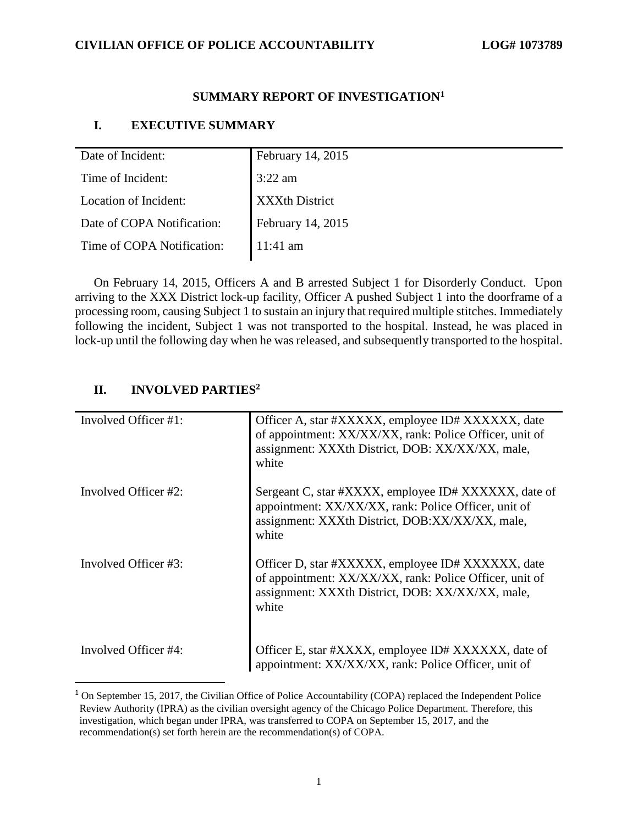### **SUMMARY REPORT OF INVESTIGATION<sup>1</sup>**

### **I. EXECUTIVE SUMMARY**

| Date of Incident:          | February 14, 2015     |
|----------------------------|-----------------------|
| Time of Incident:          | $3:22$ am             |
| Location of Incident:      | <b>XXXth District</b> |
| Date of COPA Notification: | February 14, 2015     |
| Time of COPA Notification: | $11:41$ am            |
|                            |                       |

On February 14, 2015, Officers A and B arrested Subject 1 for Disorderly Conduct. Upon arriving to the XXX District lock-up facility, Officer A pushed Subject 1 into the doorframe of a processing room, causing Subject 1 to sustain an injury that required multiple stitches. Immediately following the incident, Subject 1 was not transported to the hospital. Instead, he was placed in lock-up until the following day when he was released, and subsequently transported to the hospital.

### **II. INVOLVED PARTIES<sup>2</sup>**

 $\overline{a}$ 

| Involved Officer #1: | Officer A, star #XXXXX, employee ID# XXXXXX, date<br>of appointment: XX/XX/XX, rank: Police Officer, unit of<br>assignment: XXXth District, DOB: XX/XX/XX, male,<br>white |
|----------------------|---------------------------------------------------------------------------------------------------------------------------------------------------------------------------|
| Involved Officer #2: | Sergeant C, star #XXXX, employee ID# XXXXXX, date of<br>appointment: XX/XX/XX, rank: Police Officer, unit of<br>assignment: XXXth District, DOB:XX/XX/XX, male,<br>white  |
| Involved Officer #3: | Officer D, star #XXXXX, employee ID# XXXXXX, date<br>of appointment: XX/XX/XX, rank: Police Officer, unit of<br>assignment: XXXth District, DOB: XX/XX/XX, male,<br>white |
| Involved Officer #4: | Officer E, star #XXXX, employee ID# XXXXXX, date of<br>appointment: XX/XX/XX, rank: Police Officer, unit of                                                               |

<sup>&</sup>lt;sup>1</sup> On September 15, 2017, the Civilian Office of Police Accountability (COPA) replaced the Independent Police Review Authority (IPRA) as the civilian oversight agency of the Chicago Police Department. Therefore, this investigation, which began under IPRA, was transferred to COPA on September 15, 2017, and the recommendation(s) set forth herein are the recommendation(s) of COPA.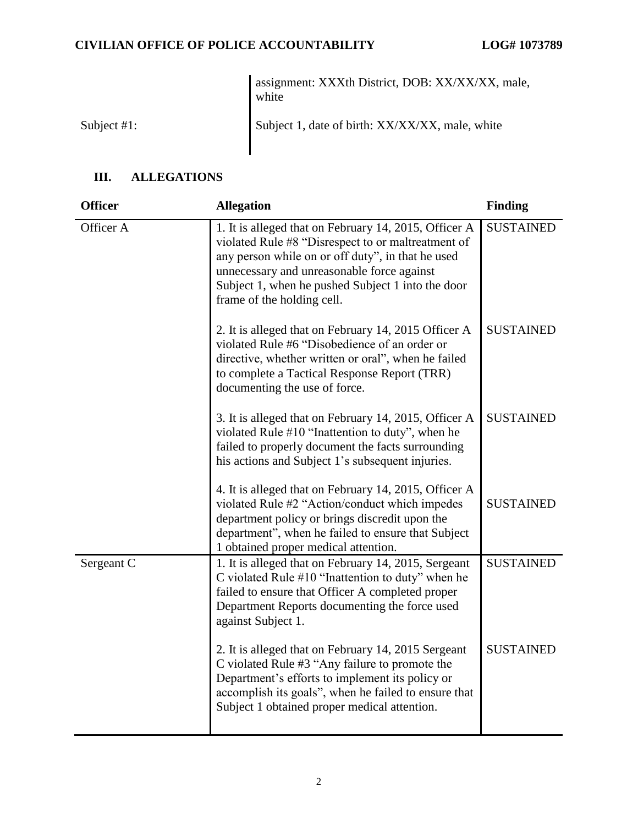assignment: XXXth District, DOB: XX/XX/XX, male, white

Subject #1: Subject 1, date of birth: XX/XX/XX, male, white

## **III. ALLEGATIONS**

| <b>Officer</b> | <b>Allegation</b>                                                                                                                                                                                                                                                                                 | <b>Finding</b>   |
|----------------|---------------------------------------------------------------------------------------------------------------------------------------------------------------------------------------------------------------------------------------------------------------------------------------------------|------------------|
| Officer A      | 1. It is alleged that on February 14, 2015, Officer A<br>violated Rule #8 "Disrespect to or maltreatment of<br>any person while on or off duty", in that he used<br>unnecessary and unreasonable force against<br>Subject 1, when he pushed Subject 1 into the door<br>frame of the holding cell. | <b>SUSTAINED</b> |
|                | 2. It is alleged that on February 14, 2015 Officer A<br>violated Rule #6 "Disobedience of an order or<br>directive, whether written or oral", when he failed<br>to complete a Tactical Response Report (TRR)<br>documenting the use of force.                                                     | <b>SUSTAINED</b> |
|                | 3. It is alleged that on February 14, 2015, Officer A<br>violated Rule #10 "Inattention to duty", when he<br>failed to properly document the facts surrounding<br>his actions and Subject 1's subsequent injuries.                                                                                | <b>SUSTAINED</b> |
|                | 4. It is alleged that on February 14, 2015, Officer A<br>violated Rule #2 "Action/conduct which impedes<br>department policy or brings discredit upon the<br>department", when he failed to ensure that Subject<br>1 obtained proper medical attention.                                           | <b>SUSTAINED</b> |
| Sergeant C     | 1. It is alleged that on February 14, 2015, Sergeant<br>C violated Rule #10 "Inattention to duty" when he<br>failed to ensure that Officer A completed proper<br>Department Reports documenting the force used<br>against Subject 1.                                                              | <b>SUSTAINED</b> |
|                | 2. It is alleged that on February 14, 2015 Sergeant<br>C violated Rule #3 "Any failure to promote the<br>Department's efforts to implement its policy or<br>accomplish its goals", when he failed to ensure that<br>Subject 1 obtained proper medical attention.                                  | <b>SUSTAINED</b> |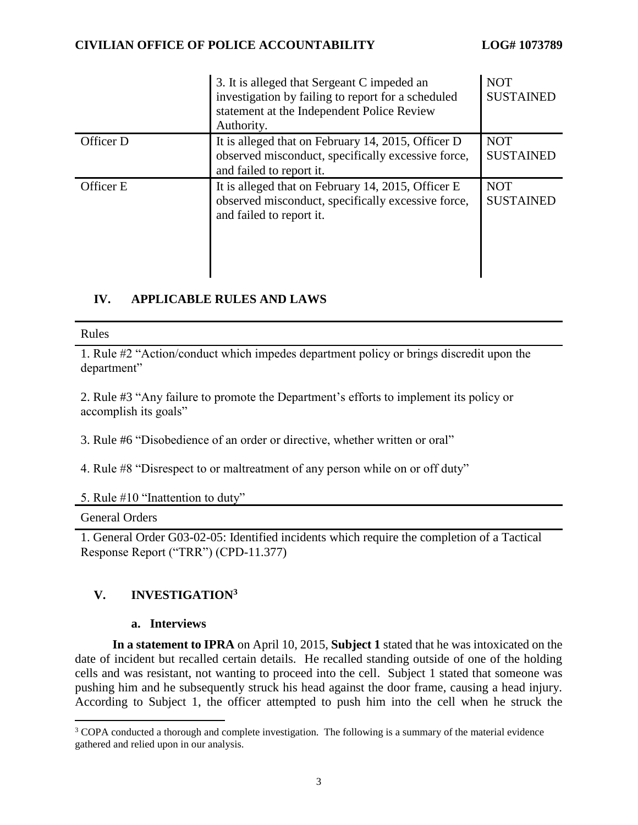|           | 3. It is alleged that Sergeant C impeded an<br>investigation by failing to report for a scheduled<br>statement at the Independent Police Review<br>Authority. | <b>NOT</b><br><b>SUSTAINED</b> |
|-----------|---------------------------------------------------------------------------------------------------------------------------------------------------------------|--------------------------------|
| Officer D | It is alleged that on February 14, 2015, Officer D<br>observed misconduct, specifically excessive force,<br>and failed to report it.                          | <b>NOT</b><br><b>SUSTAINED</b> |
| Officer E | It is alleged that on February 14, 2015, Officer E<br>observed misconduct, specifically excessive force,<br>and failed to report it.                          | <b>NOT</b><br><b>SUSTAINED</b> |

## **IV. APPLICABLE RULES AND LAWS**

#### Rules

1. Rule #2 "Action/conduct which impedes department policy or brings discredit upon the department"

2. Rule #3 "Any failure to promote the Department's efforts to implement its policy or accomplish its goals"

3. Rule #6 "Disobedience of an order or directive, whether written or oral"

4. Rule #8 "Disrespect to or maltreatment of any person while on or off duty"

#### 5. Rule #10 "Inattention to duty"

### General Orders

 $\overline{a}$ 

1. General Order G03-02-05: Identified incidents which require the completion of a Tactical Response Report ("TRR") (CPD-11.377)

## **V. INVESTIGATION<sup>3</sup>**

#### **a. Interviews**

**In a statement to IPRA** on April 10, 2015, **Subject 1** stated that he was intoxicated on the date of incident but recalled certain details. He recalled standing outside of one of the holding cells and was resistant, not wanting to proceed into the cell. Subject 1 stated that someone was pushing him and he subsequently struck his head against the door frame, causing a head injury. According to Subject 1, the officer attempted to push him into the cell when he struck the

<sup>&</sup>lt;sup>3</sup> COPA conducted a thorough and complete investigation. The following is a summary of the material evidence gathered and relied upon in our analysis.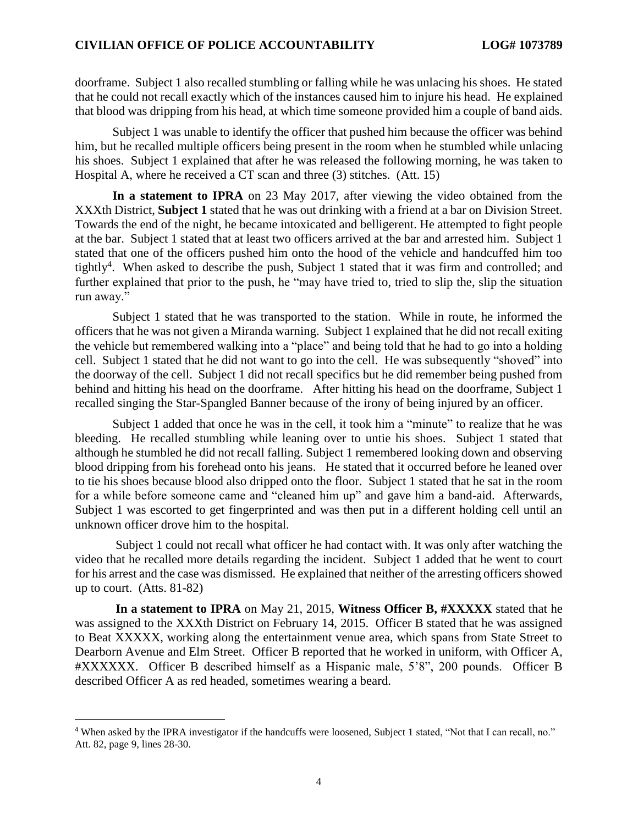doorframe. Subject 1 also recalled stumbling or falling while he was unlacing his shoes. He stated that he could not recall exactly which of the instances caused him to injure his head. He explained that blood was dripping from his head, at which time someone provided him a couple of band aids.

Subject 1 was unable to identify the officer that pushed him because the officer was behind him, but he recalled multiple officers being present in the room when he stumbled while unlacing his shoes. Subject 1 explained that after he was released the following morning, he was taken to Hospital A, where he received a CT scan and three (3) stitches. (Att. 15)

**In a statement to IPRA** on 23 May 2017, after viewing the video obtained from the XXXth District, **Subject 1** stated that he was out drinking with a friend at a bar on Division Street. Towards the end of the night, he became intoxicated and belligerent. He attempted to fight people at the bar. Subject 1 stated that at least two officers arrived at the bar and arrested him. Subject 1 stated that one of the officers pushed him onto the hood of the vehicle and handcuffed him too tightly<sup>4</sup>. When asked to describe the push, Subject 1 stated that it was firm and controlled; and further explained that prior to the push, he "may have tried to, tried to slip the, slip the situation run away."

Subject 1 stated that he was transported to the station. While in route, he informed the officers that he was not given a Miranda warning. Subject 1 explained that he did not recall exiting the vehicle but remembered walking into a "place" and being told that he had to go into a holding cell. Subject 1 stated that he did not want to go into the cell. He was subsequently "shoved" into the doorway of the cell. Subject 1 did not recall specifics but he did remember being pushed from behind and hitting his head on the doorframe. After hitting his head on the doorframe, Subject 1 recalled singing the Star-Spangled Banner because of the irony of being injured by an officer.

Subject 1 added that once he was in the cell, it took him a "minute" to realize that he was bleeding. He recalled stumbling while leaning over to untie his shoes. Subject 1 stated that although he stumbled he did not recall falling. Subject 1 remembered looking down and observing blood dripping from his forehead onto his jeans. He stated that it occurred before he leaned over to tie his shoes because blood also dripped onto the floor. Subject 1 stated that he sat in the room for a while before someone came and "cleaned him up" and gave him a band-aid. Afterwards, Subject 1 was escorted to get fingerprinted and was then put in a different holding cell until an unknown officer drove him to the hospital.

Subject 1 could not recall what officer he had contact with. It was only after watching the video that he recalled more details regarding the incident. Subject 1 added that he went to court for his arrest and the case was dismissed. He explained that neither of the arresting officers showed up to court. (Atts. 81-82)

 **In a statement to IPRA** on May 21, 2015, **Witness Officer B, #XXXXX** stated that he was assigned to the XXXth District on February 14, 2015. Officer B stated that he was assigned to Beat XXXXX, working along the entertainment venue area, which spans from State Street to Dearborn Avenue and Elm Street. Officer B reported that he worked in uniform, with Officer A, #XXXXXX. Officer B described himself as a Hispanic male, 5'8", 200 pounds. Officer B described Officer A as red headed, sometimes wearing a beard.

l

<sup>4</sup> When asked by the IPRA investigator if the handcuffs were loosened, Subject 1 stated, "Not that I can recall, no." Att. 82, page 9, lines 28-30.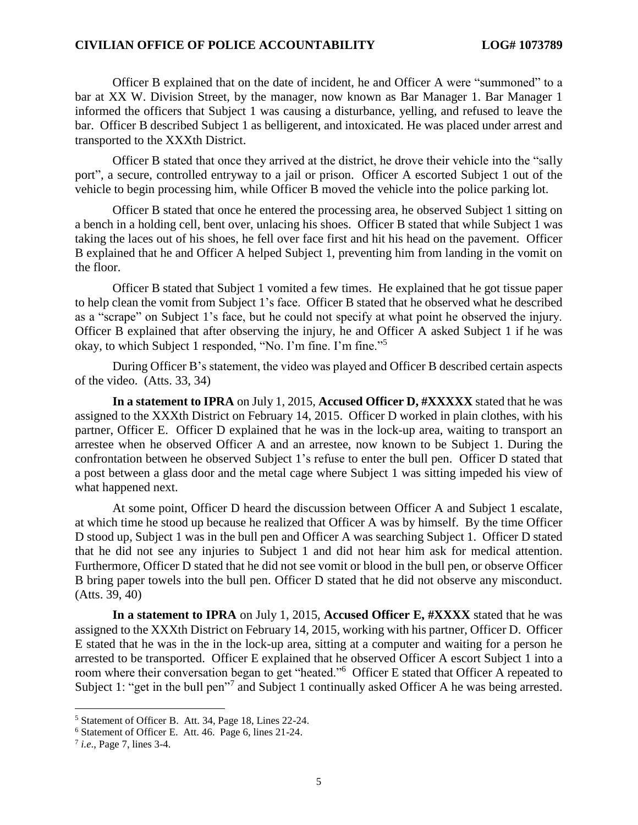Officer B explained that on the date of incident, he and Officer A were "summoned" to a bar at XX W. Division Street, by the manager, now known as Bar Manager 1. Bar Manager 1 informed the officers that Subject 1 was causing a disturbance, yelling, and refused to leave the bar. Officer B described Subject 1 as belligerent, and intoxicated. He was placed under arrest and transported to the XXXth District.

Officer B stated that once they arrived at the district, he drove their vehicle into the "sally port", a secure, controlled entryway to a jail or prison. Officer A escorted Subject 1 out of the vehicle to begin processing him, while Officer B moved the vehicle into the police parking lot.

Officer B stated that once he entered the processing area, he observed Subject 1 sitting on a bench in a holding cell, bent over, unlacing his shoes. Officer B stated that while Subject 1 was taking the laces out of his shoes, he fell over face first and hit his head on the pavement. Officer B explained that he and Officer A helped Subject 1, preventing him from landing in the vomit on the floor.

Officer B stated that Subject 1 vomited a few times. He explained that he got tissue paper to help clean the vomit from Subject 1's face. Officer B stated that he observed what he described as a "scrape" on Subject 1's face, but he could not specify at what point he observed the injury. Officer B explained that after observing the injury, he and Officer A asked Subject 1 if he was okay, to which Subject 1 responded, "No. I'm fine. I'm fine."<sup>5</sup>

During Officer B's statement, the video was played and Officer B described certain aspects of the video. (Atts. 33, 34)

**In a statement to IPRA** on July 1, 2015, **Accused Officer D, #XXXXX** stated that he was assigned to the XXXth District on February 14, 2015. Officer D worked in plain clothes, with his partner, Officer E. Officer D explained that he was in the lock-up area, waiting to transport an arrestee when he observed Officer A and an arrestee, now known to be Subject 1. During the confrontation between he observed Subject 1's refuse to enter the bull pen. Officer D stated that a post between a glass door and the metal cage where Subject 1 was sitting impeded his view of what happened next.

At some point, Officer D heard the discussion between Officer A and Subject 1 escalate, at which time he stood up because he realized that Officer A was by himself. By the time Officer D stood up, Subject 1 was in the bull pen and Officer A was searching Subject 1. Officer D stated that he did not see any injuries to Subject 1 and did not hear him ask for medical attention. Furthermore, Officer D stated that he did not see vomit or blood in the bull pen, or observe Officer B bring paper towels into the bull pen. Officer D stated that he did not observe any misconduct. (Atts. 39, 40)

**In a statement to IPRA** on July 1, 2015, **Accused Officer E, #XXXX** stated that he was assigned to the XXXth District on February 14, 2015, working with his partner, Officer D. Officer E stated that he was in the in the lock-up area, sitting at a computer and waiting for a person he arrested to be transported. Officer E explained that he observed Officer A escort Subject 1 into a room where their conversation began to get "heated."<sup>6</sup> Officer E stated that Officer A repeated to Subject 1: "get in the bull pen"<sup>7</sup> and Subject 1 continually asked Officer A he was being arrested.

 $\overline{\phantom{a}}$ 

<sup>5</sup> Statement of Officer B. Att. 34, Page 18, Lines 22-24.

<sup>6</sup> Statement of Officer E. Att. 46. Page 6, lines 21-24.

<sup>7</sup> *i.e*., Page 7, lines 3-4.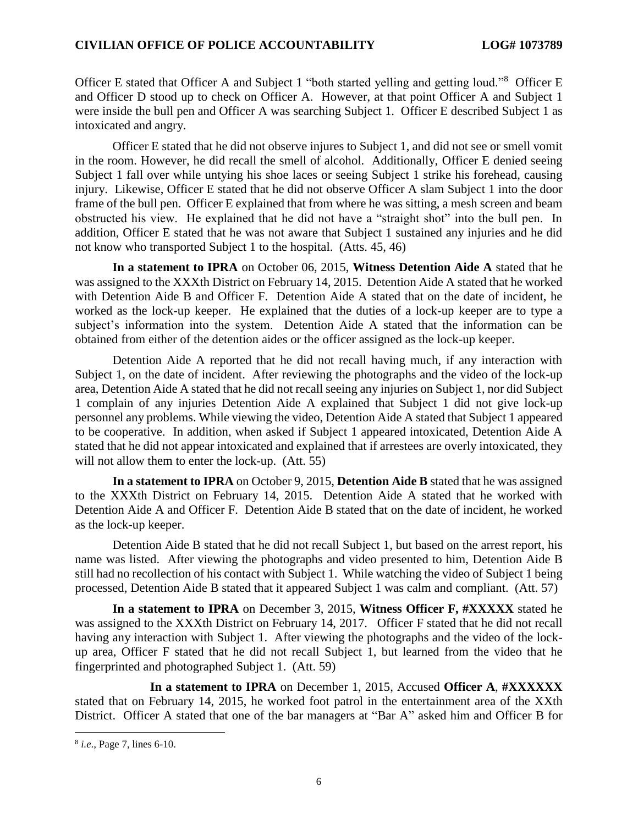Officer E stated that Officer A and Subject 1 "both started yelling and getting loud."<sup>8</sup> Officer E and Officer D stood up to check on Officer A. However, at that point Officer A and Subject 1 were inside the bull pen and Officer A was searching Subject 1. Officer E described Subject 1 as intoxicated and angry.

Officer E stated that he did not observe injures to Subject 1, and did not see or smell vomit in the room. However, he did recall the smell of alcohol. Additionally, Officer E denied seeing Subject 1 fall over while untying his shoe laces or seeing Subject 1 strike his forehead, causing injury. Likewise, Officer E stated that he did not observe Officer A slam Subject 1 into the door frame of the bull pen. Officer E explained that from where he was sitting, a mesh screen and beam obstructed his view. He explained that he did not have a "straight shot" into the bull pen. In addition, Officer E stated that he was not aware that Subject 1 sustained any injuries and he did not know who transported Subject 1 to the hospital. (Atts. 45, 46)

**In a statement to IPRA** on October 06, 2015, **Witness Detention Aide A** stated that he was assigned to the XXXth District on February 14, 2015. Detention Aide A stated that he worked with Detention Aide B and Officer F. Detention Aide A stated that on the date of incident, he worked as the lock-up keeper. He explained that the duties of a lock-up keeper are to type a subject's information into the system. Detention Aide A stated that the information can be obtained from either of the detention aides or the officer assigned as the lock-up keeper.

Detention Aide A reported that he did not recall having much, if any interaction with Subject 1, on the date of incident. After reviewing the photographs and the video of the lock-up area, Detention Aide A stated that he did not recall seeing any injuries on Subject 1, nor did Subject 1 complain of any injuries Detention Aide A explained that Subject 1 did not give lock-up personnel any problems. While viewing the video, Detention Aide A stated that Subject 1 appeared to be cooperative. In addition, when asked if Subject 1 appeared intoxicated, Detention Aide A stated that he did not appear intoxicated and explained that if arrestees are overly intoxicated, they will not allow them to enter the lock-up. (Att. 55)

**In a statement to IPRA** on October 9, 2015, **Detention Aide B** stated that he was assigned to the XXXth District on February 14, 2015. Detention Aide A stated that he worked with Detention Aide A and Officer F. Detention Aide B stated that on the date of incident, he worked as the lock-up keeper.

Detention Aide B stated that he did not recall Subject 1, but based on the arrest report, his name was listed. After viewing the photographs and video presented to him, Detention Aide B still had no recollection of his contact with Subject 1. While watching the video of Subject 1 being processed, Detention Aide B stated that it appeared Subject 1 was calm and compliant. (Att. 57)

**In a statement to IPRA** on December 3, 2015, **Witness Officer F, #XXXXX** stated he was assigned to the XXXth District on February 14, 2017. Officer F stated that he did not recall having any interaction with Subject 1. After viewing the photographs and the video of the lockup area, Officer F stated that he did not recall Subject 1, but learned from the video that he fingerprinted and photographed Subject 1. (Att. 59)

**In a statement to IPRA** on December 1, 2015, Accused **Officer A**, **#XXXXXX** stated that on February 14, 2015, he worked foot patrol in the entertainment area of the XXth District. Officer A stated that one of the bar managers at "Bar A" asked him and Officer B for

 $\overline{\phantom{a}}$ 

<sup>8</sup> *i.e*., Page 7, lines 6-10.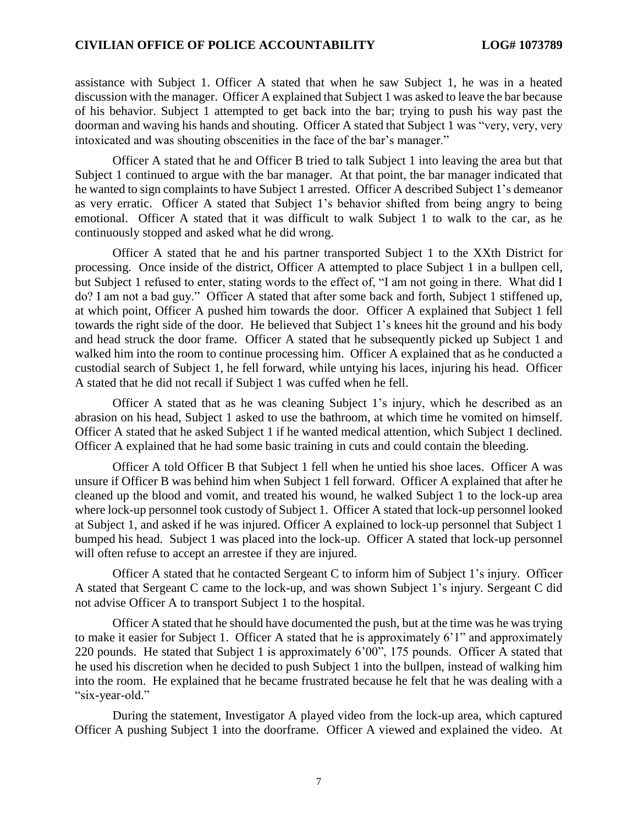assistance with Subject 1. Officer A stated that when he saw Subject 1, he was in a heated discussion with the manager. Officer A explained that Subject 1 was asked to leave the bar because of his behavior. Subject 1 attempted to get back into the bar; trying to push his way past the doorman and waving his hands and shouting. Officer A stated that Subject 1 was "very, very, very intoxicated and was shouting obscenities in the face of the bar's manager."

Officer A stated that he and Officer B tried to talk Subject 1 into leaving the area but that Subject 1 continued to argue with the bar manager. At that point, the bar manager indicated that he wanted to sign complaints to have Subject 1 arrested. Officer A described Subject 1's demeanor as very erratic. Officer A stated that Subject 1's behavior shifted from being angry to being emotional. Officer A stated that it was difficult to walk Subject 1 to walk to the car, as he continuously stopped and asked what he did wrong.

Officer A stated that he and his partner transported Subject 1 to the XXth District for processing. Once inside of the district, Officer A attempted to place Subject 1 in a bullpen cell, but Subject 1 refused to enter, stating words to the effect of, "I am not going in there. What did I do? I am not a bad guy." Officer A stated that after some back and forth, Subject 1 stiffened up, at which point, Officer A pushed him towards the door. Officer A explained that Subject 1 fell towards the right side of the door. He believed that Subject 1's knees hit the ground and his body and head struck the door frame. Officer A stated that he subsequently picked up Subject 1 and walked him into the room to continue processing him. Officer A explained that as he conducted a custodial search of Subject 1, he fell forward, while untying his laces, injuring his head. Officer A stated that he did not recall if Subject 1 was cuffed when he fell.

Officer A stated that as he was cleaning Subject 1's injury, which he described as an abrasion on his head, Subject 1 asked to use the bathroom, at which time he vomited on himself. Officer A stated that he asked Subject 1 if he wanted medical attention, which Subject 1 declined. Officer A explained that he had some basic training in cuts and could contain the bleeding.

Officer A told Officer B that Subject 1 fell when he untied his shoe laces. Officer A was unsure if Officer B was behind him when Subject 1 fell forward. Officer A explained that after he cleaned up the blood and vomit, and treated his wound, he walked Subject 1 to the lock-up area where lock-up personnel took custody of Subject 1. Officer A stated that lock-up personnel looked at Subject 1, and asked if he was injured. Officer A explained to lock-up personnel that Subject 1 bumped his head. Subject 1 was placed into the lock-up. Officer A stated that lock-up personnel will often refuse to accept an arrestee if they are injured.

Officer A stated that he contacted Sergeant C to inform him of Subject 1's injury. Officer A stated that Sergeant C came to the lock-up, and was shown Subject 1's injury. Sergeant C did not advise Officer A to transport Subject 1 to the hospital.

Officer A stated that he should have documented the push, but at the time was he was trying to make it easier for Subject 1. Officer A stated that he is approximately 6'1" and approximately 220 pounds. He stated that Subject 1 is approximately 6'00", 175 pounds. Officer A stated that he used his discretion when he decided to push Subject 1 into the bullpen, instead of walking him into the room. He explained that he became frustrated because he felt that he was dealing with a "six-year-old."

During the statement, Investigator A played video from the lock-up area, which captured Officer A pushing Subject 1 into the doorframe. Officer A viewed and explained the video. At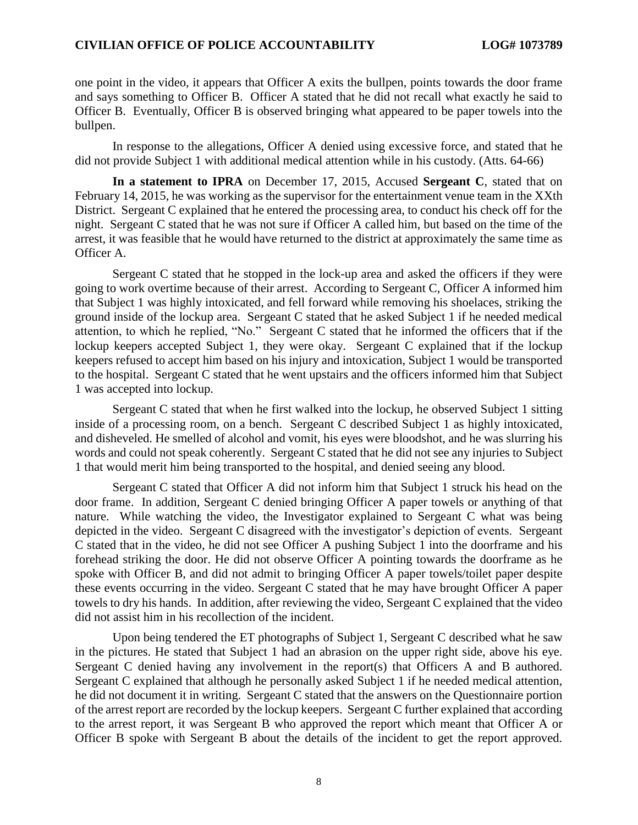one point in the video, it appears that Officer A exits the bullpen, points towards the door frame and says something to Officer B. Officer A stated that he did not recall what exactly he said to Officer B. Eventually, Officer B is observed bringing what appeared to be paper towels into the bullpen.

In response to the allegations, Officer A denied using excessive force, and stated that he did not provide Subject 1 with additional medical attention while in his custody. (Atts. 64-66)

**In a statement to IPRA** on December 17, 2015, Accused **Sergeant C**, stated that on February 14, 2015, he was working as the supervisor for the entertainment venue team in the XXth District. Sergeant C explained that he entered the processing area, to conduct his check off for the night. Sergeant C stated that he was not sure if Officer A called him, but based on the time of the arrest, it was feasible that he would have returned to the district at approximately the same time as Officer A.

Sergeant C stated that he stopped in the lock-up area and asked the officers if they were going to work overtime because of their arrest. According to Sergeant C, Officer A informed him that Subject 1 was highly intoxicated, and fell forward while removing his shoelaces, striking the ground inside of the lockup area. Sergeant C stated that he asked Subject 1 if he needed medical attention, to which he replied, "No." Sergeant C stated that he informed the officers that if the lockup keepers accepted Subject 1, they were okay. Sergeant C explained that if the lockup keepers refused to accept him based on his injury and intoxication, Subject 1 would be transported to the hospital. Sergeant C stated that he went upstairs and the officers informed him that Subject 1 was accepted into lockup.

Sergeant C stated that when he first walked into the lockup, he observed Subject 1 sitting inside of a processing room, on a bench. Sergeant C described Subject 1 as highly intoxicated, and disheveled. He smelled of alcohol and vomit, his eyes were bloodshot, and he was slurring his words and could not speak coherently. Sergeant C stated that he did not see any injuries to Subject 1 that would merit him being transported to the hospital, and denied seeing any blood.

Sergeant C stated that Officer A did not inform him that Subject 1 struck his head on the door frame. In addition, Sergeant C denied bringing Officer A paper towels or anything of that nature. While watching the video, the Investigator explained to Sergeant C what was being depicted in the video. Sergeant C disagreed with the investigator's depiction of events. Sergeant C stated that in the video, he did not see Officer A pushing Subject 1 into the doorframe and his forehead striking the door. He did not observe Officer A pointing towards the doorframe as he spoke with Officer B, and did not admit to bringing Officer A paper towels/toilet paper despite these events occurring in the video. Sergeant C stated that he may have brought Officer A paper towels to dry his hands. In addition, after reviewing the video, Sergeant C explained that the video did not assist him in his recollection of the incident.

Upon being tendered the ET photographs of Subject 1, Sergeant C described what he saw in the pictures. He stated that Subject 1 had an abrasion on the upper right side, above his eye. Sergeant C denied having any involvement in the report(s) that Officers A and B authored. Sergeant C explained that although he personally asked Subject 1 if he needed medical attention, he did not document it in writing. Sergeant C stated that the answers on the Questionnaire portion of the arrest report are recorded by the lockup keepers. Sergeant C further explained that according to the arrest report, it was Sergeant B who approved the report which meant that Officer A or Officer B spoke with Sergeant B about the details of the incident to get the report approved.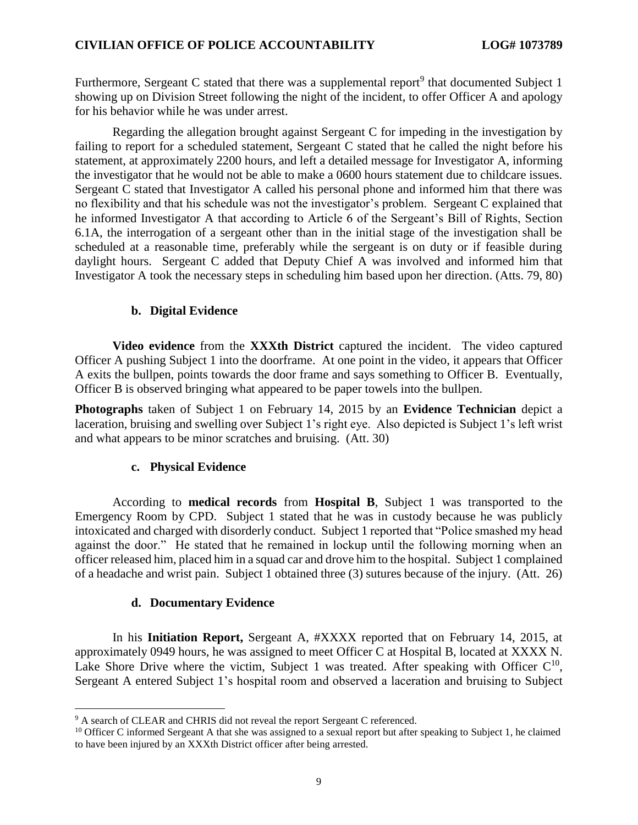Furthermore, Sergeant C stated that there was a supplemental report<sup>9</sup> that documented Subject 1 showing up on Division Street following the night of the incident, to offer Officer A and apology for his behavior while he was under arrest.

Regarding the allegation brought against Sergeant C for impeding in the investigation by failing to report for a scheduled statement, Sergeant C stated that he called the night before his statement, at approximately 2200 hours, and left a detailed message for Investigator A, informing the investigator that he would not be able to make a 0600 hours statement due to childcare issues. Sergeant C stated that Investigator A called his personal phone and informed him that there was no flexibility and that his schedule was not the investigator's problem. Sergeant C explained that he informed Investigator A that according to Article 6 of the Sergeant's Bill of Rights, Section 6.1A, the interrogation of a sergeant other than in the initial stage of the investigation shall be scheduled at a reasonable time, preferably while the sergeant is on duty or if feasible during daylight hours. Sergeant C added that Deputy Chief A was involved and informed him that Investigator A took the necessary steps in scheduling him based upon her direction. (Atts. 79, 80)

#### **b. Digital Evidence**

**Video evidence** from the **XXXth District** captured the incident. The video captured Officer A pushing Subject 1 into the doorframe. At one point in the video, it appears that Officer A exits the bullpen, points towards the door frame and says something to Officer B. Eventually, Officer B is observed bringing what appeared to be paper towels into the bullpen.

**Photographs** taken of Subject 1 on February 14, 2015 by an **Evidence Technician** depict a laceration, bruising and swelling over Subject 1's right eye. Also depicted is Subject 1's left wrist and what appears to be minor scratches and bruising. (Att. 30)

#### **c. Physical Evidence**

According to **medical records** from **Hospital B**, Subject 1 was transported to the Emergency Room by CPD. Subject 1 stated that he was in custody because he was publicly intoxicated and charged with disorderly conduct. Subject 1 reported that "Police smashed my head against the door." He stated that he remained in lockup until the following morning when an officer released him, placed him in a squad car and drove him to the hospital. Subject 1 complained of a headache and wrist pain. Subject 1 obtained three (3) sutures because of the injury. (Att. 26)

#### **d. Documentary Evidence**

 $\overline{\phantom{a}}$ 

In his **Initiation Report,** Sergeant A, #XXXX reported that on February 14, 2015, at approximately 0949 hours, he was assigned to meet Officer C at Hospital B, located at XXXX N. Lake Shore Drive where the victim, Subject 1 was treated. After speaking with Officer  $C^{10}$ , Sergeant A entered Subject 1's hospital room and observed a laceration and bruising to Subject

<sup>&</sup>lt;sup>9</sup> A search of CLEAR and CHRIS did not reveal the report Sergeant C referenced.

<sup>&</sup>lt;sup>10</sup> Officer C informed Sergeant A that she was assigned to a sexual report but after speaking to Subject 1, he claimed to have been injured by an XXXth District officer after being arrested.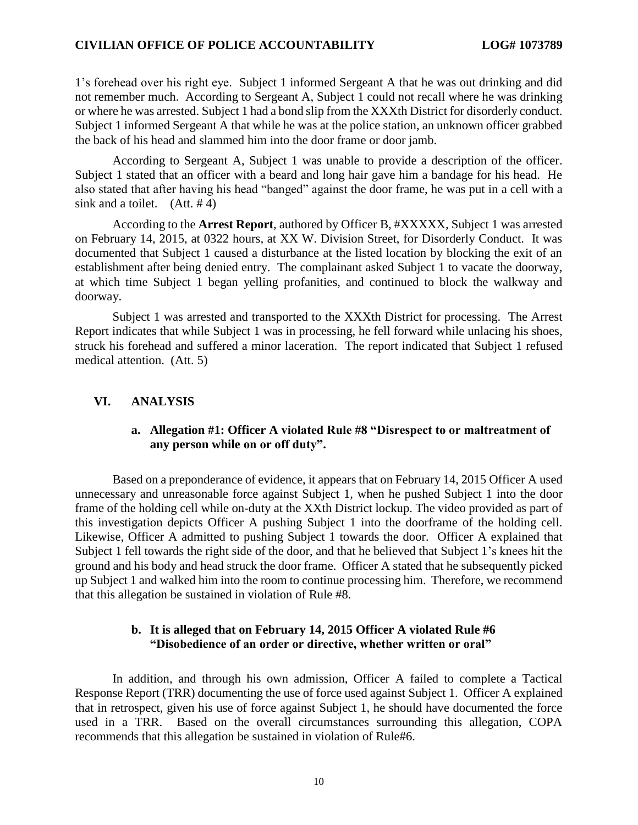1's forehead over his right eye. Subject 1 informed Sergeant A that he was out drinking and did not remember much. According to Sergeant A, Subject 1 could not recall where he was drinking or where he was arrested. Subject 1 had a bond slip from the XXXth District for disorderly conduct. Subject 1 informed Sergeant A that while he was at the police station, an unknown officer grabbed the back of his head and slammed him into the door frame or door jamb.

According to Sergeant A, Subject 1 was unable to provide a description of the officer. Subject 1 stated that an officer with a beard and long hair gave him a bandage for his head. He also stated that after having his head "banged" against the door frame, he was put in a cell with a sink and a toilet.  $(Att. #4)$ 

According to the **Arrest Report**, authored by Officer B, #XXXXX, Subject 1 was arrested on February 14, 2015, at 0322 hours, at XX W. Division Street, for Disorderly Conduct. It was documented that Subject 1 caused a disturbance at the listed location by blocking the exit of an establishment after being denied entry. The complainant asked Subject 1 to vacate the doorway, at which time Subject 1 began yelling profanities, and continued to block the walkway and doorway.

Subject 1 was arrested and transported to the XXXth District for processing. The Arrest Report indicates that while Subject 1 was in processing, he fell forward while unlacing his shoes, struck his forehead and suffered a minor laceration. The report indicated that Subject 1 refused medical attention. (Att. 5)

#### **VI. ANALYSIS**

### **a. Allegation #1: Officer A violated Rule #8 "Disrespect to or maltreatment of any person while on or off duty".**

Based on a preponderance of evidence, it appears that on February 14, 2015 Officer A used unnecessary and unreasonable force against Subject 1, when he pushed Subject 1 into the door frame of the holding cell while on-duty at the XXth District lockup. The video provided as part of this investigation depicts Officer A pushing Subject 1 into the doorframe of the holding cell. Likewise, Officer A admitted to pushing Subject 1 towards the door. Officer A explained that Subject 1 fell towards the right side of the door, and that he believed that Subject 1's knees hit the ground and his body and head struck the door frame. Officer A stated that he subsequently picked up Subject 1 and walked him into the room to continue processing him. Therefore, we recommend that this allegation be sustained in violation of Rule #8.

#### **b. It is alleged that on February 14, 2015 Officer A violated Rule #6 "Disobedience of an order or directive, whether written or oral"**

In addition, and through his own admission, Officer A failed to complete a Tactical Response Report (TRR) documenting the use of force used against Subject 1. Officer A explained that in retrospect, given his use of force against Subject 1, he should have documented the force used in a TRR. Based on the overall circumstances surrounding this allegation, COPA recommends that this allegation be sustained in violation of Rule#6.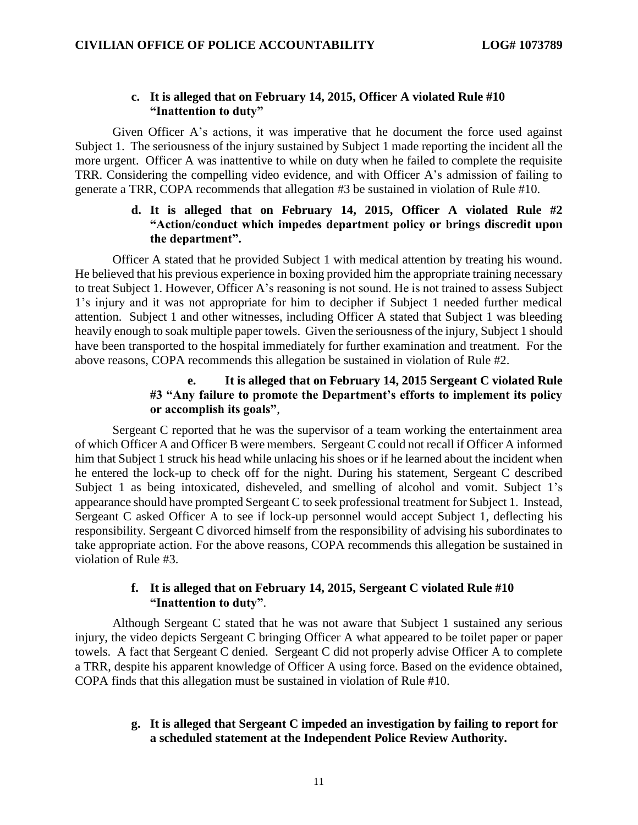## **c. It is alleged that on February 14, 2015, Officer A violated Rule #10 "Inattention to duty"**

Given Officer A's actions, it was imperative that he document the force used against Subject 1. The seriousness of the injury sustained by Subject 1 made reporting the incident all the more urgent. Officer A was inattentive to while on duty when he failed to complete the requisite TRR. Considering the compelling video evidence, and with Officer A's admission of failing to generate a TRR, COPA recommends that allegation #3 be sustained in violation of Rule #10.

## **d. It is alleged that on February 14, 2015, Officer A violated Rule #2 "Action/conduct which impedes department policy or brings discredit upon the department".**

Officer A stated that he provided Subject 1 with medical attention by treating his wound. He believed that his previous experience in boxing provided him the appropriate training necessary to treat Subject 1. However, Officer A's reasoning is not sound. He is not trained to assess Subject 1's injury and it was not appropriate for him to decipher if Subject 1 needed further medical attention. Subject 1 and other witnesses, including Officer A stated that Subject 1 was bleeding heavily enough to soak multiple paper towels. Given the seriousness of the injury, Subject 1 should have been transported to the hospital immediately for further examination and treatment. For the above reasons, COPA recommends this allegation be sustained in violation of Rule #2.

## **e. It is alleged that on February 14, 2015 Sergeant C violated Rule #3 "Any failure to promote the Department's efforts to implement its policy or accomplish its goals"**,

Sergeant C reported that he was the supervisor of a team working the entertainment area of which Officer A and Officer B were members. Sergeant C could not recall if Officer A informed him that Subject 1 struck his head while unlacing his shoes or if he learned about the incident when he entered the lock-up to check off for the night. During his statement, Sergeant C described Subject 1 as being intoxicated, disheveled, and smelling of alcohol and vomit. Subject 1's appearance should have prompted Sergeant C to seek professional treatment for Subject 1. Instead, Sergeant C asked Officer A to see if lock-up personnel would accept Subject 1, deflecting his responsibility. Sergeant C divorced himself from the responsibility of advising his subordinates to take appropriate action. For the above reasons, COPA recommends this allegation be sustained in violation of Rule #3.

## **f. It is alleged that on February 14, 2015, Sergeant C violated Rule #10 "Inattention to duty"**.

Although Sergeant C stated that he was not aware that Subject 1 sustained any serious injury, the video depicts Sergeant C bringing Officer A what appeared to be toilet paper or paper towels. A fact that Sergeant C denied. Sergeant C did not properly advise Officer A to complete a TRR, despite his apparent knowledge of Officer A using force. Based on the evidence obtained, COPA finds that this allegation must be sustained in violation of Rule #10.

### **g. It is alleged that Sergeant C impeded an investigation by failing to report for a scheduled statement at the Independent Police Review Authority.**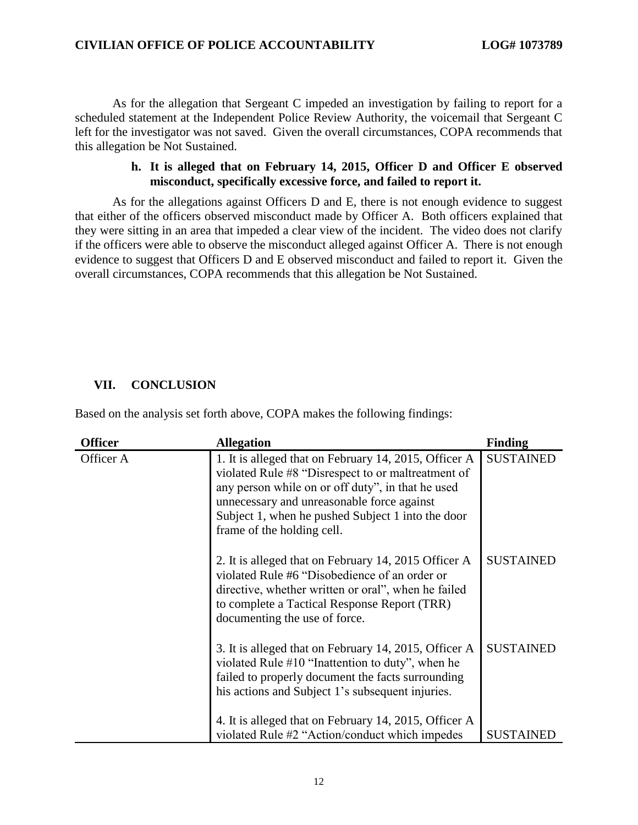As for the allegation that Sergeant C impeded an investigation by failing to report for a scheduled statement at the Independent Police Review Authority, the voicemail that Sergeant C left for the investigator was not saved. Given the overall circumstances, COPA recommends that this allegation be Not Sustained.

#### **h. It is alleged that on February 14, 2015, Officer D and Officer E observed misconduct, specifically excessive force, and failed to report it.**

As for the allegations against Officers D and E, there is not enough evidence to suggest that either of the officers observed misconduct made by Officer A. Both officers explained that they were sitting in an area that impeded a clear view of the incident. The video does not clarify if the officers were able to observe the misconduct alleged against Officer A. There is not enough evidence to suggest that Officers D and E observed misconduct and failed to report it. Given the overall circumstances, COPA recommends that this allegation be Not Sustained.

## **VII. CONCLUSION**

Based on the analysis set forth above, COPA makes the following findings:

| <b>Officer</b> | <b>Allegation</b>                                                                                                                                                                                                                                                                                 | <b>Finding</b>   |
|----------------|---------------------------------------------------------------------------------------------------------------------------------------------------------------------------------------------------------------------------------------------------------------------------------------------------|------------------|
| Officer A      | 1. It is alleged that on February 14, 2015, Officer A<br>violated Rule #8 "Disrespect to or maltreatment of<br>any person while on or off duty", in that he used<br>unnecessary and unreasonable force against<br>Subject 1, when he pushed Subject 1 into the door<br>frame of the holding cell. | <b>SUSTAINED</b> |
|                | 2. It is alleged that on February 14, 2015 Officer A<br>violated Rule #6 "Disobedience of an order or<br>directive, whether written or oral", when he failed<br>to complete a Tactical Response Report (TRR)<br>documenting the use of force.                                                     | <b>SUSTAINED</b> |
|                | 3. It is alleged that on February 14, 2015, Officer A<br>violated Rule #10 "Inattention to duty", when he<br>failed to properly document the facts surrounding<br>his actions and Subject 1's subsequent injuries.<br>4. It is alleged that on February 14, 2015, Officer A                       | <b>SUSTAINED</b> |
|                | violated Rule #2 "Action/conduct which impedes                                                                                                                                                                                                                                                    | <b>SUSTAINED</b> |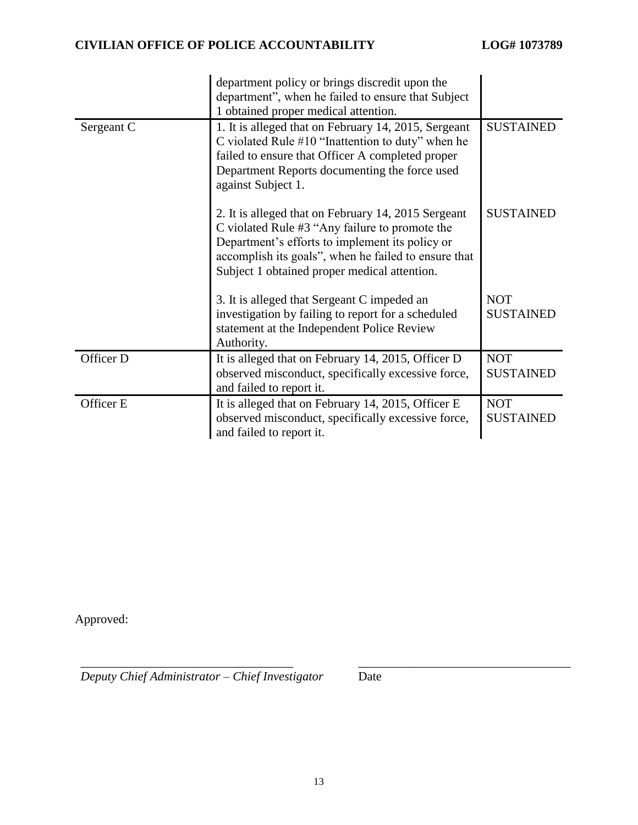|            | department policy or brings discredit upon the<br>department", when he failed to ensure that Subject<br>1 obtained proper medical attention.                                                                                                                     |                                |
|------------|------------------------------------------------------------------------------------------------------------------------------------------------------------------------------------------------------------------------------------------------------------------|--------------------------------|
| Sergeant C | 1. It is alleged that on February 14, 2015, Sergeant<br>C violated Rule $#10$ "Inattention to duty" when he<br>failed to ensure that Officer A completed proper<br>Department Reports documenting the force used<br>against Subject 1.                           | <b>SUSTAINED</b>               |
|            | 2. It is alleged that on February 14, 2015 Sergeant<br>C violated Rule #3 "Any failure to promote the<br>Department's efforts to implement its policy or<br>accomplish its goals", when he failed to ensure that<br>Subject 1 obtained proper medical attention. | <b>SUSTAINED</b>               |
|            | 3. It is alleged that Sergeant C impeded an<br>investigation by failing to report for a scheduled<br>statement at the Independent Police Review<br>Authority.                                                                                                    | <b>NOT</b><br><b>SUSTAINED</b> |
| Officer D  | It is alleged that on February 14, 2015, Officer D<br>observed misconduct, specifically excessive force,<br>and failed to report it.                                                                                                                             | <b>NOT</b><br><b>SUSTAINED</b> |
| Officer E  | It is alleged that on February 14, 2015, Officer E<br>observed misconduct, specifically excessive force,<br>and failed to report it.                                                                                                                             | <b>NOT</b><br><b>SUSTAINED</b> |

Approved:

*Deputy Chief Administrator – Chief Investigator* Date

\_\_\_\_\_\_\_\_\_\_\_\_\_\_\_\_\_\_\_\_\_\_\_\_\_\_\_\_\_\_\_\_\_\_ \_\_\_\_\_\_\_\_\_\_\_\_\_\_\_\_\_\_\_\_\_\_\_\_\_\_\_\_\_\_\_\_\_\_